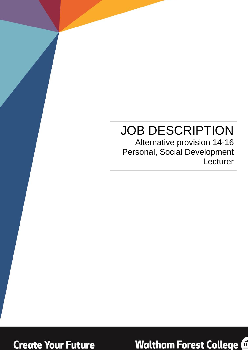# JOB DESCRIPTION

Alternative provision 14-16 Personal, Social Development Lecturer



**Waltham Forest College @**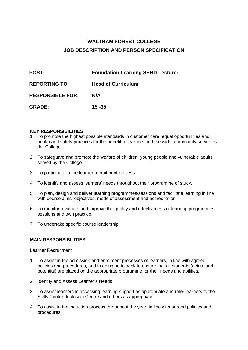# **WALTHAM FOREST COLLEGE JOB DESCRIPTION AND PERSON SPECIFICATION**

| <b>POST:</b>            | <b>Foundation Learning SEND Lecturer</b> |
|-------------------------|------------------------------------------|
| <b>REPORTING TO:</b>    | <b>Head of Curriculum</b>                |
| <b>RESPONSIBLE FOR:</b> | N/A                                      |
| <b>GRADE:</b>           | $15 - 35$                                |

#### **KEY RESPONSIBILITIES**

- 1. To promote the highest possible standards in customer care, equal opportunities and health and safety practices for the benefit of learners and the wider community served by the College.
- 2. To safeguard and promote the welfare of children, young people and vulnerable adults served by the College.
- 3. To participate in the learner recruitment process.
- 4. To identify and assess learners' needs throughout their programme of study.
- 5. To plan, design and deliver learning programmes/sessions and facilitate learning in line with course aims, objectives, mode of assessment and accreditation.
- 6. To monitor, evaluate and improve the quality and effectiveness of learning programmes, sessions and own practice.
- 7. To undertake specific course leadership.

#### **MAIN RESPONSIBILITIES**

Learner Recruitment

- 1. To assist in the admission and enrolment processes of learners, in line with agreed policies and procedures, and in doing so to seek to ensure that all students (actual and potential) are placed on the appropriate programme for their needs and abilities.
- 2. Identify and Assess Learner's Needs
- 3. To assist learners in accessing learning support as appropriate and refer learners to the Skills Centre, Inclusion Centre and others as appropriate.
- 4. To assist in the induction process throughout the year, in line with agreed policies and procedures.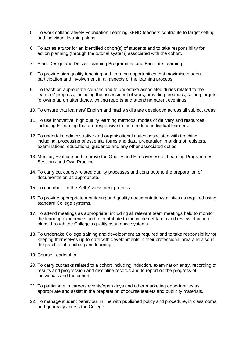- 5. To work collaboratively Foundation Learning SEND teachers contribute to target setting and individual learning plans.
- 6. To act as a tutor for an identified cohort(s) of students and to take responsibility for action planning (through the tutorial system) associated with the cohort.
- 7. Plan, Design and Deliver Learning Programmes and Facilitate Learning
- 8. To provide high quality teaching and learning opportunities that maximise student participation and involvement in all aspects of the learning process.
- 9. To teach on appropriate courses and to undertake associated duties related to the learners' progress, including the assessment of work, providing feedback, setting targets, following up on attendance, writing reports and attending parent evenings.
- 10. To ensure that learners' English and maths skills are developed across all subject areas.
- 11. To use innovative, high quality learning methods, modes of delivery and resources, including E-learning that are responsive to the needs of individual learners.
- 12. To undertake administrative and organisational duties associated with teaching including, processing of essential forms and data, preparation, marking of registers, examinations, educational guidance and any other associated duties.
- 13. Monitor, Evaluate and Improve the Quality and Effectiveness of Learning Programmes, Sessions and Own Practice
- 14. To carry out course-related quality processes and contribute to the preparation of documentation as appropriate.
- 15. To contribute to the Self-Assessment process.
- 16. To provide appropriate monitoring and quality documentation/statistics as required using standard College systems.
- 17. To attend meetings as appropriate, including all relevant team meetings held to monitor the learning experience, and to contribute to the implementation and review of action plans through the College's quality assurance systems.
- 18. To undertake College training and development as required and to take responsibility for keeping themselves up-to-date with developments in their professional area and also in the practice of teaching and learning.
- 19. Course Leadership
- 20. To carry out tasks related to a cohort including induction, examination entry, recording of results and progression and discipline records and to report on the progress of individuals and the cohort.
- 21. To participate in careers events/open days and other marketing opportunities as appropriate and assist in the preparation of course leaflets and publicity materials.
- 22. To manage student behaviour in line with published policy and procedure, in classrooms and generally across the College.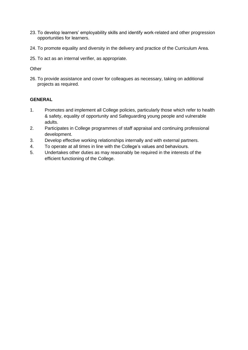- 23. To develop learners' employability skills and identify work-related and other progression opportunities for learners.
- 24. To promote equality and diversity in the delivery and practice of the Curriculum Area.
- 25. To act as an internal verifier, as appropriate.

**Other** 

26. To provide assistance and cover for colleagues as necessary, taking on additional projects as required.

### **GENERAL**

- 1. Promotes and implement all College policies, particularly those which refer to health & safety, equality of opportunity and Safeguarding young people and vulnerable adults.
- 2. Participates in College programmes of staff appraisal and continuing professional development.
- 3. Develop effective working relationships internally and with external partners.
- 4. To operate at all times in line with the College's values and behaviours.
- 5. Undertakes other duties as may reasonably be required in the interests of the efficient functioning of the College.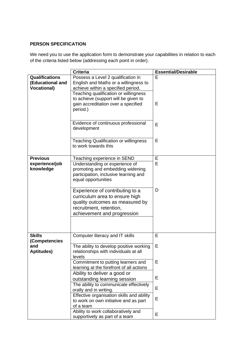## **PERSON SPECIFICATION**

We need you to use the application form to demonstrate your capabilities in relation to each of the criteria listed below (addressing each point in order).

|                                                                 | <b>Criteria</b>                                                                                                                                                | <b>Essential/Desirable</b> |
|-----------------------------------------------------------------|----------------------------------------------------------------------------------------------------------------------------------------------------------------|----------------------------|
| <b>Qualifications</b><br>(Educational and<br><b>Vocational)</b> | Possess a Level 2 qualification in<br>English and Maths or a willingness to<br>achieve within a specified period.<br>Teaching qualification or willingness     | E                          |
|                                                                 | to achieve (support will be given to<br>gain accreditation over a specified<br>period.)                                                                        | Е                          |
|                                                                 | Evidence of continuous professional<br>development                                                                                                             | E                          |
|                                                                 | <b>Teaching Qualification or willingness</b><br>to work towards this                                                                                           | E                          |
| <b>Previous</b>                                                 | Teaching experience in SEND                                                                                                                                    | E                          |
| experience/job<br>knowledge                                     | Understanding or experience of<br>promoting and embedding widening<br>participation, inclusive learning and<br>equal opportunities                             | E                          |
|                                                                 | Experience of contributing to a<br>curriculum area to ensure high<br>quality outcomes as measured by<br>recruitment, retention,<br>achievement and progression | D                          |
| <b>Skills</b><br>(Competencies                                  | Computer literacy and IT skills                                                                                                                                | E                          |
| and<br><b>Aptitudes)</b>                                        | The ability to develop positive working<br>relationships with individuals at all<br>levels                                                                     | E                          |
|                                                                 | Commitment to putting learners and<br>learning at the forefront of all actions                                                                                 | E                          |
|                                                                 | Ability to deliver a good or<br>outstanding learning session                                                                                                   | E                          |
|                                                                 | The ability to communicate effectively<br>orally and in writing.                                                                                               | E                          |
|                                                                 | Effective organisation skills and ability<br>to work on own initiative and as part<br>of a team                                                                | E                          |
|                                                                 | Ability to work collaboratively and<br>supportively as part of a team                                                                                          | Е                          |